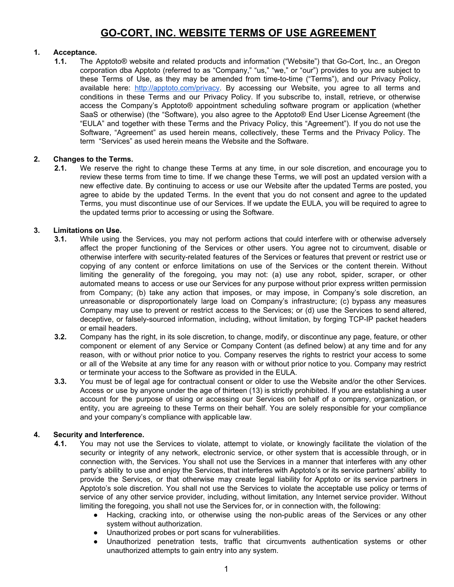# **GO-CORT, INC. WEBSITE TERMS OF USE AGREEMENT**

## **1. Acceptance.**

**1.1.** The Apptoto® website and related products and information ("Website") that Go-Cort, Inc., an Oregon corporation dba Apptoto (referred to as "Company," "us," "we," or "our") provides to you are subject to these Terms of Use, as they may be amended from time-to-time ("Terms"), and our Privacy Policy, available here: <http://apptoto.com/privacy>. By accessing our Website, you agree to all terms and conditions in these Terms and our Privacy Policy. If you subscribe to, install, retrieve, or otherwise access the Company's Apptoto® appointment scheduling software program or application (whether SaaS or otherwise) (the "Software), you also agree to the Apptoto® End User License Agreement (the "EULA" and together with these Terms and the Privacy Policy, this "Agreement"). If you do not use the Software, "Agreement" as used herein means, collectively, these Terms and the Privacy Policy. The term "Services" as used herein means the Website and the Software.

## **2. Changes to the Terms.**

**2.1.** We reserve the right to change these Terms at any time, in our sole discretion, and encourage you to review these terms from time to time. If we change these Terms, we will post an updated version with a new effective date. By continuing to access or use our Website after the updated Terms are posted, you agree to abide by the updated Terms. In the event that you do not consent and agree to the updated Terms, you must discontinue use of our Services. If we update the EULA, you will be required to agree to the updated terms prior to accessing or using the Software.

## **3. Limitations on Use.**

- **3.1.** While using the Services, you may not perform actions that could interfere with or otherwise adversely affect the proper functioning of the Services or other users. You agree not to circumvent, disable or otherwise interfere with security-related features of the Services or features that prevent or restrict use or copying of any content or enforce limitations on use of the Services or the content therein. Without limiting the generality of the foregoing, you may not: (a) use any robot, spider, scraper, or other automated means to access or use our Services for any purpose without prior express written permission from Company; (b) take any action that imposes, or may impose, in Company's sole discretion, an unreasonable or disproportionately large load on Company's infrastructure; (c) bypass any measures Company may use to prevent or restrict access to the Services; or (d) use the Services to send altered, deceptive, or falsely-sourced information, including, without limitation, by forging TCP-IP packet headers or email headers.
- **3.2.** Company has the right, in its sole discretion, to change, modify, or discontinue any page, feature, or other component or element of any Service or Company Content (as defined below) at any time and for any reason, with or without prior notice to you. Company reserves the rights to restrict your access to some or all of the Website at any time for any reason with or without prior notice to you. Company may restrict or terminate your access to the Software as provided in the EULA.
- **3.3.** You must be of legal age for contractual consent or older to use the Website and/or the other Services. Access or use by anyone under the age of thirteen (13) is strictly prohibited. If you are establishing a user account for the purpose of using or accessing our Services on behalf of a company, organization, or entity, you are agreeing to these Terms on their behalf. You are solely responsible for your compliance and your company's compliance with applicable law.

#### **4. Security and Interference.**

- **4.1.** You may not use the Services to violate, attempt to violate, or knowingly facilitate the violation of the security or integrity of any network, electronic service, or other system that is accessible through, or in connection with, the Services. You shall not use the Services in a manner that interferes with any other party's ability to use and enjoy the Services, that interferes with Apptoto's or its service partners' ability to provide the Services, or that otherwise may create legal liability for Apptoto or its service partners in Apptoto's sole discretion. You shall not use the Services to violate the acceptable use policy or terms of service of any other service provider, including, without limitation, any Internet service provider. Without limiting the foregoing, you shall not use the Services for, or in connection with, the following:
	- Hacking, cracking into, or otherwise using the non-public areas of the Services or any other system without authorization.
	- Unauthorized probes or port scans for vulnerabilities.
	- Unauthorized penetration tests, traffic that circumvents authentication systems or other unauthorized attempts to gain entry into any system.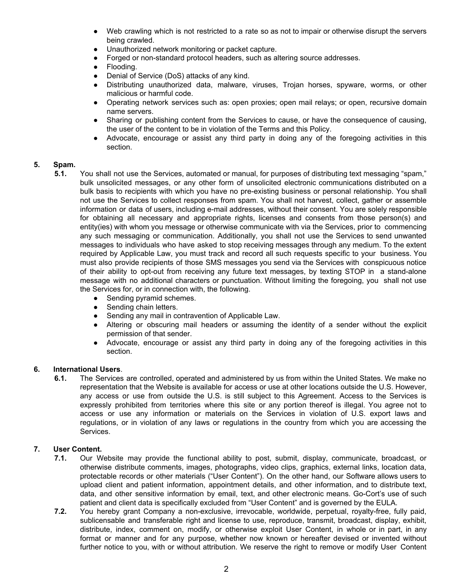- Web crawling which is not restricted to a rate so as not to impair or otherwise disrupt the servers being crawled.
- Unauthorized network monitoring or packet capture.
- Forged or non-standard protocol headers, such as altering source addresses.
- Flooding.
- Denial of Service (DoS) attacks of any kind.
- Distributing unauthorized data, malware, viruses, Trojan horses, spyware, worms, or other malicious or harmful code.
- Operating network services such as: open proxies; open mail relays; or open, recursive domain name servers.
- Sharing or publishing content from the Services to cause, or have the consequence of causing, the user of the content to be in violation of the Terms and this Policy.
- Advocate, encourage or assist any third party in doing any of the foregoing activities in this section.

#### **5. Spam.**

- **5.1.** You shall not use the Services, automated or manual, for purposes of distributing text messaging "spam," bulk unsolicited messages, or any other form of unsolicited electronic communications distributed on a bulk basis to recipients with which you have no pre-existing business or personal relationship. You shall not use the Services to collect responses from spam. You shall not harvest, collect, gather or assemble information or data of users, including e-mail addresses, without their consent. You are solely responsible for obtaining all necessary and appropriate rights, licenses and consents from those person(s) and entity(ies) with whom you message or otherwise communicate with via the Services, prior to commencing any such messaging or communication. Additionally, you shall not use the Services to send unwanted messages to individuals who have asked to stop receiving messages through any medium. To the extent required by Applicable Law, you must track and record all such requests specific to your business. You must also provide recipients of those SMS messages you send via the Services with conspicuous notice of their ability to opt-out from receiving any future text messages, by texting STOP in a stand-alone message with no additional characters or punctuation. Without limiting the foregoing, you shall not use the Services for, or in connection with, the following.
	- Sending pyramid schemes.
	- Sending chain letters.
	- Sending any mail in contravention of Applicable Law.
	- Altering or obscuring mail headers or assuming the identity of a sender without the explicit permission of that sender.
	- Advocate, encourage or assist any third party in doing any of the foregoing activities in this section.

#### **6. International Users**.

**6.1.** The Services are controlled, operated and administered by us from within the United States. We make no representation that the Website is available for access or use at other locations outside the U.S. However, any access or use from outside the U.S. is still subject to this Agreement. Access to the Services is expressly prohibited from territories where this site or any portion thereof is illegal. You agree not to access or use any information or materials on the Services in violation of U.S. export laws and regulations, or in violation of any laws or regulations in the country from which you are accessing the Services.

#### **7. User Content.**

- **7.1.** Our Website may provide the functional ability to post, submit, display, communicate, broadcast, or otherwise distribute comments, images, photographs, video clips, graphics, external links, location data, protectable records or other materials ("User Content"). On the other hand, our Software allows users to upload client and patient information, appointment details, and other information, and to distribute text, data, and other sensitive information by email, text, and other electronic means. Go-Cort's use of such patient and client data is specifically excluded from "User Content" and is governed by the EULA.
- **7.2.** You hereby grant Company a non-exclusive, irrevocable, worldwide, perpetual, royalty-free, fully paid, sublicensable and transferable right and license to use, reproduce, transmit, broadcast, display, exhibit, distribute, index, comment on, modify, or otherwise exploit User Content, in whole or in part, in any format or manner and for any purpose, whether now known or hereafter devised or invented without further notice to you, with or without attribution. We reserve the right to remove or modify User Content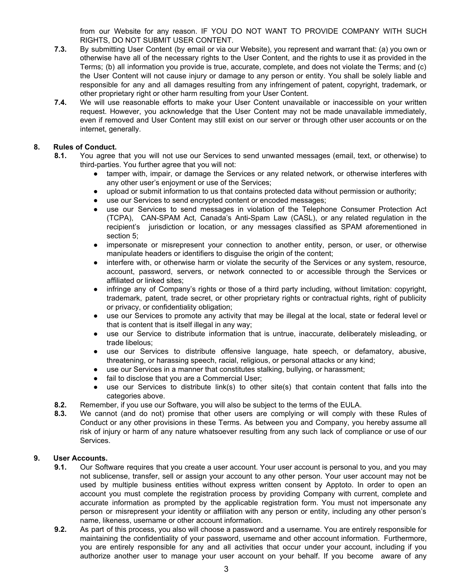from our Website for any reason. IF YOU DO NOT WANT TO PROVIDE COMPANY WITH SUCH RIGHTS, DO NOT SUBMIT USER CONTENT.

- **7.3.** By submitting User Content (by email or via our Website), you represent and warrant that: (a) you own or otherwise have all of the necessary rights to the User Content, and the rights to use it as provided in the Terms; (b) all information you provide is true, accurate, complete, and does not violate the Terms; and (c) the User Content will not cause injury or damage to any person or entity. You shall be solely liable and responsible for any and all damages resulting from any infringement of patent, copyright, trademark, or other proprietary right or other harm resulting from your User Content.
- **7.4.** We will use reasonable efforts to make your User Content unavailable or inaccessible on your written request. However, you acknowledge that the User Content may not be made unavailable immediately, even if removed and User Content may still exist on our server or through other user accounts or on the internet, generally.

#### **8. Rules of Conduct.**

- **8.1.** You agree that you will not use our Services to send unwanted messages (email, text, or otherwise) to third-parties. You further agree that you will not:
	- tamper with, impair, or damage the Services or any related network, or otherwise interferes with any other user's enjoyment or use of the Services;
	- upload or submit information to us that contains protected data without permission or authority;
	- use our Services to send encrypted content or encoded messages;
	- use our Services to send messages in violation of the Telephone Consumer Protection Act (TCPA), CAN-SPAM Act, Canada's Anti-Spam Law (CASL), or any related regulation in the recipient's jurisdiction or location, or any messages classified as SPAM aforementioned in section 5;
	- impersonate or misrepresent your connection to another entity, person, or user, or otherwise manipulate headers or identifiers to disguise the origin of the content;
	- interfere with, or otherwise harm or violate the security of the Services or any system, resource, account, password, servers, or network connected to or accessible through the Services or affiliated or linked sites;
	- infringe any of Company's rights or those of a third party including, without limitation: copyright, trademark, patent, trade secret, or other proprietary rights or contractual rights, right of publicity or privacy, or confidentiality obligation;
	- use our Services to promote any activity that may be illegal at the local, state or federal level or that is content that is itself illegal in any way;
	- use our Service to distribute information that is untrue, inaccurate, deliberately misleading, or trade libelous;
	- use our Services to distribute offensive language, hate speech, or defamatory, abusive, threatening, or harassing speech, racial, religious, or personal attacks or any kind;
	- use our Services in a manner that constitutes stalking, bullying, or harassment;
	- fail to disclose that you are a Commercial User;
	- use our Services to distribute link(s) to other site(s) that contain content that falls into the categories above.
	- **8.2.** Remember, if you use our Software, you will also be subject to the terms of the EULA.
	- **8.3.** We cannot (and do not) promise that other users are complying or will comply with these Rules of Conduct or any other provisions in these Terms. As between you and Company, you hereby assume all risk of injury or harm of any nature whatsoever resulting from any such lack of compliance or use of our Services.

## **9. User Accounts.**

- **9.1.** Our Software requires that you create a user account. Your user account is personal to you, and you may not sublicense, transfer, sell or assign your account to any other person. Your user account may not be used by multiple business entities without express written consent by Apptoto. In order to open an account you must complete the registration process by providing Company with current, complete and accurate information as prompted by the applicable registration form. You must not impersonate any person or misrepresent your identity or affiliation with any person or entity, including any other person's name, likeness, username or other account information.
- **9.2.** As part of this process, you also will choose a password and a username. You are entirely responsible for maintaining the confidentiality of your password, username and other account information. Furthermore, you are entirely responsible for any and all activities that occur under your account, including if you authorize another user to manage your user account on your behalf. If you become aware of any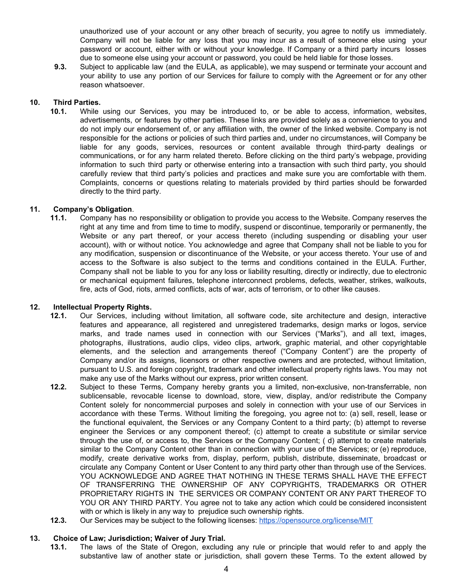unauthorized use of your account or any other breach of security, you agree to notify us immediately. Company will not be liable for any loss that you may incur as a result of someone else using your password or account, either with or without your knowledge. If Company or a third party incurs losses due to someone else using your account or password, you could be held liable for those losses.

**9.3.** Subject to applicable law (and the EULA, as applicable), we may suspend or terminate your account and your ability to use any portion of our Services for failure to comply with the Agreement or for any other reason whatsoever.

#### **10. Third Parties.**

**10.1.** While using our Services, you may be introduced to, or be able to access, information, websites, advertisements, or features by other parties. These links are provided solely as a convenience to you and do not imply our endorsement of, or any affiliation with, the owner of the linked website. Company is not responsible for the actions or policies of such third parties and, under no circumstances, will Company be liable for any goods, services, resources or content available through third-party dealings or communications, or for any harm related thereto. Before clicking on the third party's webpage, providing information to such third party or otherwise entering into a transaction with such third party, you should carefully review that third party's policies and practices and make sure you are comfortable with them. Complaints, concerns or questions relating to materials provided by third parties should be forwarded directly to the third party.

#### **11. Company's Obligation**.

**11.1.** Company has no responsibility or obligation to provide you access to the Website. Company reserves the right at any time and from time to time to modify, suspend or discontinue, temporarily or permanently, the Website or any part thereof, or your access thereto (including suspending or disabling your user account), with or without notice. You acknowledge and agree that Company shall not be liable to you for any modification, suspension or discontinuance of the Website, or your access thereto. Your use of and access to the Software is also subject to the terms and conditions contained in the EULA. Further, Company shall not be liable to you for any loss or liability resulting, directly or indirectly, due to electronic or mechanical equipment failures, telephone interconnect problems, defects, weather, strikes, walkouts, fire, acts of God, riots, armed conflicts, acts of war, acts of terrorism, or to other like causes.

#### **12. Intellectual Property Rights.**

- **12.1.** Our Services, including without limitation, all software code, site architecture and design, interactive features and appearance, all registered and unregistered trademarks, design marks or logos, service marks, and trade names used in connection with our Services ("Marks"), and all text, images, photographs, illustrations, audio clips, video clips, artwork, graphic material, and other copyrightable elements, and the selection and arrangements thereof ("Company Content") are the property of Company and/or its assigns, licensors or other respective owners and are protected, without limitation, pursuant to U.S. and foreign copyright, trademark and other intellectual property rights laws. You may not make any use of the Marks without our express, prior written consent.
- **12.2.** Subject to these Terms, Company hereby grants you a limited, non-exclusive, non-transferrable, non sublicensable, revocable license to download, store, view, display, and/or redistribute the Company Content solely for noncommercial purposes and solely in connection with your use of our Services in accordance with these Terms. Without limiting the foregoing, you agree not to: (a) sell, resell, lease or the functional equivalent, the Services or any Company Content to a third party; (b) attempt to reverse engineer the Services or any component thereof; (c) attempt to create a substitute or similar service through the use of, or access to, the Services or the Company Content; ( d) attempt to create materials similar to the Company Content other than in connection with your use of the Services; or (e) reproduce, modify, create derivative works from, display, perform, publish, distribute, disseminate, broadcast or circulate any Company Content or User Content to any third party other than through use of the Services. YOU ACKNOWLEDGE AND AGREE THAT NOTHING IN THESE TERMS SHALL HAVE THE EFFECT OF TRANSFERRING THE OWNERSHIP OF ANY COPYRIGHTS, TRADEMARKS OR OTHER PROPRIETARY RIGHTS IN THE SERVICES OR COMPANY CONTENT OR ANY PART THEREOF TO YOU OR ANY THIRD PARTY. You agree not to take any action which could be considered inconsistent with or which is likely in any way to prejudice such ownership rights.
- **12.3.** Our Services may be subject to the following licenses: <https://opensource.org/license/MIT>

#### **13. Choice of Law; Jurisdiction; Waiver of Jury Trial.**

**13.1.** The laws of the State of Oregon, excluding any rule or principle that would refer to and apply the substantive law of another state or jurisdiction, shall govern these Terms. To the extent allowed by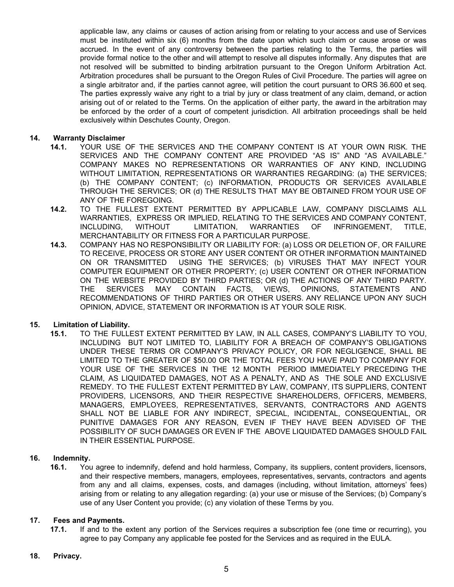applicable law, any claims or causes of action arising from or relating to your access and use of Services must be instituted within six (6) months from the date upon which such claim or cause arose or was accrued. In the event of any controversy between the parties relating to the Terms, the parties will provide formal notice to the other and will attempt to resolve all disputes informally. Any disputes that are not resolved will be submitted to binding arbitration pursuant to the Oregon Uniform Arbitration Act. Arbitration procedures shall be pursuant to the Oregon Rules of Civil Procedure. The parties will agree on a single arbitrator and, if the parties cannot agree, will petition the court pursuant to ORS 36.600 et seq. The parties expressly waive any right to a trial by jury or class treatment of any claim, demand, or action arising out of or related to the Terms. On the application of either party, the award in the arbitration may be enforced by the order of a court of competent jurisdiction. All arbitration proceedings shall be held exclusively within Deschutes County, Oregon.

#### **14. Warranty Disclaimer**

- **14.1.** YOUR USE OF THE SERVICES AND THE COMPANY CONTENT IS AT YOUR OWN RISK. THE SERVICES AND THE COMPANY CONTENT ARE PROVIDED "AS IS" AND "AS AVAILABLE." COMPANY MAKES NO REPRESENTATIONS OR WARRANTIES OF ANY KIND, INCLUDING WITHOUT LIMITATION, REPRESENTATIONS OR WARRANTIES REGARDING: (a) THE SERVICES; (b) THE COMPANY CONTENT; (c) INFORMATION, PRODUCTS OR SERVICES AVAILABLE THROUGH THE SERVICES; OR (d) THE RESULTS THAT MAY BE OBTAINED FROM YOUR USE OF ANY OF THE FOREGOING.
- **14.2.** TO THE FULLEST EXTENT PERMITTED BY APPLICABLE LAW, COMPANY DISCLAIMS ALL WARRANTIES, EXPRESS OR IMPLIED, RELATING TO THE SERVICES AND COMPANY CONTENT, INCLUDING, WITHOUT LIMITATION, WARRANTIES OF INFRINGEMENT, TITLE, MERCHANTABILITY OR FITNESS FOR A PARTICULAR PURPOSE.
- **14.3.** COMPANY HAS NO RESPONSIBILITY OR LIABILITY FOR: (a) LOSS OR DELETION OF, OR FAILURE TO RECEIVE, PROCESS OR STORE ANY USER CONTENT OR OTHER INFORMATION MAINTAINED ON OR TRANSMITTED USING THE SERVICES; (b) VIRUSES THAT MAY INFECT YOUR COMPUTER EQUIPMENT OR OTHER PROPERTY; (c) USER CONTENT OR OTHER INFORMATION ON THE WEBSITE PROVIDED BY THIRD PARTIES; OR (d) THE ACTIONS OF ANY THIRD PARTY. THE SERVICES MAY CONTAIN FACTS, VIEWS, OPINIONS, STATEMENTS AND RECOMMENDATIONS OF THIRD PARTIES OR OTHER USERS. ANY RELIANCE UPON ANY SUCH OPINION, ADVICE, STATEMENT OR INFORMATION IS AT YOUR SOLE RISK.

#### **15. Limitation of Liability.**

**15.1.** TO THE FULLEST EXTENT PERMITTED BY LAW, IN ALL CASES, COMPANY'S LIABILITY TO YOU, INCLUDING BUT NOT LIMITED TO, LIABILITY FOR A BREACH OF COMPANY'S OBLIGATIONS UNDER THESE TERMS OR COMPANY'S PRIVACY POLICY, OR FOR NEGLIGENCE, SHALL BE LIMITED TO THE GREATER OF \$50.00 OR THE TOTAL FEES YOU HAVE PAID TO COMPANY FOR YOUR USE OF THE SERVICES IN THE 12 MONTH PERIOD IMMEDIATELY PRECEDING THE CLAIM, AS LIQUIDATED DAMAGES, NOT AS A PENALTY, AND AS THE SOLE AND EXCLUSIVE REMEDY. TO THE FULLEST EXTENT PERMITTED BY LAW, COMPANY, ITS SUPPLIERS, CONTENT PROVIDERS, LICENSORS, AND THEIR RESPECTIVE SHAREHOLDERS, OFFICERS, MEMBERS, MANAGERS, EMPLOYEES, REPRESENTATIVES, SERVANTS, CONTRACTORS AND AGENTS SHALL NOT BE LIABLE FOR ANY INDIRECT, SPECIAL, INCIDENTAL, CONSEQUENTIAL, OR PUNITIVE DAMAGES FOR ANY REASON, EVEN IF THEY HAVE BEEN ADVISED OF THE POSSIBILITY OF SUCH DAMAGES OR EVEN IF THE ABOVE LIQUIDATED DAMAGES SHOULD FAIL IN THEIR ESSENTIAL PURPOSE.

#### **16. Indemnity.**

**16.1.** You agree to indemnify, defend and hold harmless, Company, its suppliers, content providers, licensors, and their respective members, managers, employees, representatives, servants, contractors and agents from any and all claims, expenses, costs, and damages (including, without limitation, attorneys' fees) arising from or relating to any allegation regarding: (a) your use or misuse of the Services; (b) Company's use of any User Content you provide; (c) any violation of these Terms by you.

#### **17. Fees and Payments.**

**17.1.** If and to the extent any portion of the Services requires a subscription fee (one time or recurring), you agree to pay Company any applicable fee posted for the Services and as required in the EULA.

#### **18. Privacy.**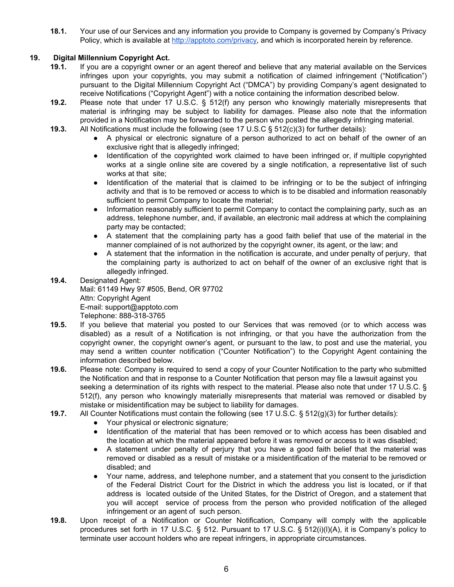**18.1.** Your use of our Services and any information you provide to Company is governed by Company's Privacy Policy, which is available at <http://apptoto.com/privacy>, and which is incorporated herein by reference.

# **19. Digital Millennium Copyright Act.**

- **19.1.** If you are a copyright owner or an agent thereof and believe that any material available on the Services infringes upon your copyrights, you may submit a notification of claimed infringement ("Notification") pursuant to the Digital Millennium Copyright Act ("DMCA") by providing Company's agent designated to receive Notifications ("Copyright Agent") with a notice containing the information described below.
- **19.2.** Please note that under 17 U.S.C. § 512(f) any person who knowingly materially misrepresents that material is infringing may be subject to liability for damages. Please also note that the information provided in a Notification may be forwarded to the person who posted the allegedly infringing material.
- **19.3.** All Notifications must include the following (see 17 U.S.C § 512(c)(3) for further details):
	- A physical or electronic signature of a person authorized to act on behalf of the owner of an exclusive right that is allegedly infringed;
	- Identification of the copyrighted work claimed to have been infringed or, if multiple copyrighted works at a single online site are covered by a single notification, a representative list of such works at that site;
	- Identification of the material that is claimed to be infringing or to be the subject of infringing activity and that is to be removed or access to which is to be disabled and information reasonably sufficient to permit Company to locate the material;
	- Information reasonably sufficient to permit Company to contact the complaining party, such as an address, telephone number, and, if available, an electronic mail address at which the complaining party may be contacted;
	- A statement that the complaining party has a good faith belief that use of the material in the manner complained of is not authorized by the copyright owner, its agent, or the law; and
	- A statement that the information in the notification is accurate, and under penalty of perjury, that the complaining party is authorized to act on behalf of the owner of an exclusive right that is allegedly infringed.
- **19.4.** Designated Agent: Mail: 61149 Hwy 97 #505, Bend, OR 97702 Attn: Copyright Agent E-mail: support@apptoto.com Telephone: 888-318-3765
- **19.5.** If you believe that material you posted to our Services that was removed (or to which access was disabled) as a result of a Notification is not infringing, or that you have the authorization from the copyright owner, the copyright owner's agent, or pursuant to the law, to post and use the material, you may send a written counter notification ("Counter Notification") to the Copyright Agent containing the information described below.
- **19.6.** Please note: Company is required to send a copy of your Counter Notification to the party who submitted the Notification and that in response to a Counter Notification that person may file a lawsuit against you seeking a determination of its rights with respect to the material. Please also note that under 17 U.S.C. § 512(f), any person who knowingly materially misrepresents that material was removed or disabled by mistake or misidentification may be subject to liability for damages.
- **19.7.** All Counter Notifications must contain the following (see 17 U.S.C. § 512(g)(3) for further details):
	- Your physical or electronic signature;
	- Identification of the material that has been removed or to which access has been disabled and the location at which the material appeared before it was removed or access to it was disabled;
	- A statement under penalty of perjury that you have a good faith belief that the material was removed or disabled as a result of mistake or a misidentification of the material to be removed or disabled; and
	- Your name, address, and telephone number, and a statement that you consent to the jurisdiction of the Federal District Court for the District in which the address you list is located, or if that address is located outside of the United States, for the District of Oregon, and a statement that you will accept service of process from the person who provided notification of the alleged infringement or an agent of such person.
- **19.8.** Upon receipt of a Notification or Counter Notification, Company will comply with the applicable procedures set forth in 17 U.S.C. § 512. Pursuant to 17 U.S.C. § 512(i)(l)(A), it is Company's policy to terminate user account holders who are repeat infringers, in appropriate circumstances.